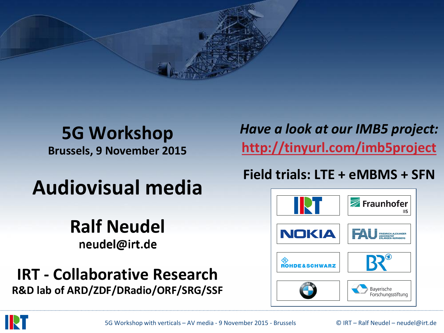

### **5G Workshop Brussels, 9 November 2015**

# **Audiovisual media**

## **Ralf Neudel** neudel@irt.de

**IRT - Collaborative Research R&D lab of ARD/ZDF/DRadio/ORF/SRG/SSF** *Have a look at our IMB5 project:* **<http://tinyurl.com/imb5project>**

#### **Field trials: LTE + eMBMS + SFN**



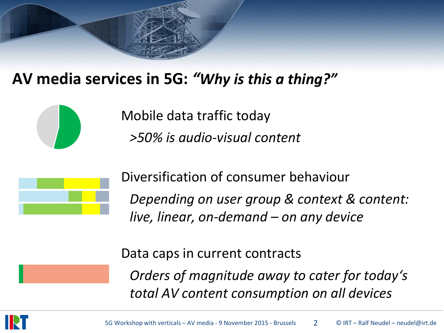## **AV media services in 5G:** *"Why is this a thing?"*



Mobile data traffic today *>50% is audio-visual content*



Diversification of consumer behaviour *Depending on user group & context & content: live, linear, on-demand – on any device*

Data caps in current contracts

*Orders of magnitude away to cater for today's total AV content consumption on all devices*